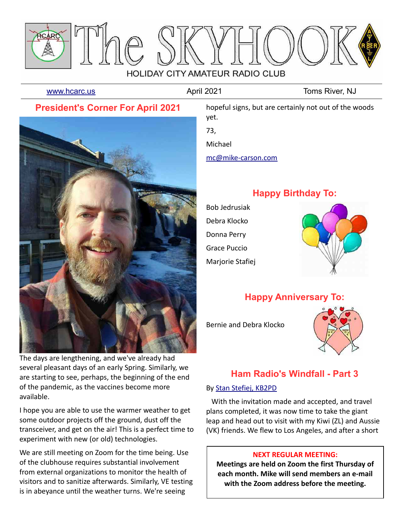

[www.hcarc.us](http://www.hcarc.us/) **April 2021** April 2021 Toms River, NJ

# **President's Corner For April 2021**



The days are lengthening, and we've already had several pleasant days of an early Spring. Similarly, we are starting to see, perhaps, the beginning of the end of the pandemic, as the vaccines become more available.

I hope you are able to use the warmer weather to get some outdoor projects off the ground, dust off the transceiver, and get on the air! This is a perfect time to experiment with new (or old) technologies.

We are still meeting on Zoom for the time being. Use of the clubhouse requires substantial involvement from external organizations to monitor the health of visitors and to sanitize afterwards. Similarly, VE testing is in abeyance until the weather turns. We're seeing

hopeful signs, but are certainly not out of the woods yet.

73,

Michael

[mc@mike-carson.com](mailto:mc@mike-carson.com)

# **Happy Birthday To:**

Bob Jedrusiak Debra Klocko Donna Perry Grace Puccio Marjorie Stafiej



# **Happy Anniversary To:**

Bernie and Debra Klocko



# **Ham Radio's Windfall - Part 3**

### By [Stan Stefiej, KB2PD](mailto:KN1RQY@gmail.com)

 With the invitation made and accepted, and travel plans completed, it was now time to take the giant leap and head out to visit with my Kiwi (ZL) and Aussie (VK) friends. We flew to Los Angeles, and after a short

### **NEXT REGULAR MEETING:**

**Meetings are held on Zoom the first Thursday of each month. Mike will send members an e-mail with the Zoom address before the meeting.**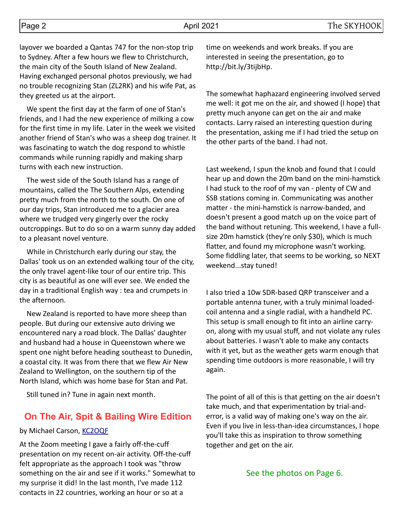layover we boarded a Qantas 747 for the non-stop trip to Sydney. After a few hours we flew to Christchurch, the main city of the South Island of New Zealand. Having exchanged personal photos previously, we had no trouble recognizing Stan (ZL2RK) and his wife Pat, as they greeted us at the airport.

 We spent the first day at the farm of one of Stan's friends, and I had the new experience of milking a cow for the first time in my life. Later in the week we visited another friend of Stan's who was a sheep dog trainer. It was fascinating to watch the dog respond to whistle commands while running rapidly and making sharp turns with each new instruction.

 The west side of the South Island has a range of mountains, called the The Southern Alps, extending pretty much from the north to the south. On one of our day trips, Stan introduced me to a glacier area where we trudged very gingerly over the rocky outcroppings. But to do so on a warm sunny day added to a pleasant novel venture.

 While in Christchurch early during our stay, the Dallas' took us on an extended walking tour of the city, the only travel agent-like tour of our entire trip. This city is as beautiful as one will ever see. We ended the day in a traditional English way : tea and crumpets in the afternoon.

 New Zealand is reported to have more sheep than people. But during our extensive auto driving we encountered nary a road block. The Dallas' daughter and husband had a house in Queenstown where we spent one night before heading southeast to Dunedin, a coastal city. It was from there that we flew Air New Zealand to Wellington, on the southern tip of the North Island, which was home base for Stan and Pat.

Still tuned in? Tune in again next month.

## **On The Air, Spit & Bailing Wire Edition**

### by Michael Carson, [KC2OQF](mailto:mc@mike-carson.com)

At the Zoom meeting I gave a fairly off-the-cuff presentation on my recent on-air activity. Off-the-cuff felt appropriate as the approach I took was "throw something on the air and see if it works." Somewhat to my surprise it did! In the last month, I've made 112 contacts in 22 countries, working an hour or so at a

time on weekends and work breaks. If you are interested in seeing the presentation, go to http://bit.ly/3tijbHp.

The somewhat haphazard engineering involved served me well: it got me on the air, and showed (I hope) that pretty much anyone can get on the air and make contacts. Larry raised an interesting question during the presentation, asking me if I had tried the setup on the other parts of the band. I had not.

Last weekend, I spun the knob and found that I could hear up and down the 20m band on the mini-hamstick I had stuck to the roof of my van - plenty of CW and SSB stations coming in. Communicating was another matter - the mini-hamstick is narrow-banded, and doesn't present a good match up on the voice part of the band without retuning. This weekend, I have a fullsize 20m hamstick (they're only \$30), which is much flatter, and found my microphone wasn't working. Some fiddling later, that seems to be working, so NEXT weekend...stay tuned!

I also tried a 10w SDR-based QRP transceiver and a portable antenna tuner, with a truly minimal loadedcoil antenna and a single radial, with a handheld PC. This setup is small enough to fit into an airline carryon, along with my usual stuff, and not violate any rules about batteries. I wasn't able to make any contacts with it yet, but as the weather gets warm enough that spending time outdoors is more reasonable, I will try again.

The point of all of this is that getting on the air doesn't take much, and that experimentation by trial-anderror, is a valid way of making one's way on the air. Even if you live in less-than-idea circumstances, I hope you'll take this as inspiration to throw something together and get on the air.

### See the photos on Page 6.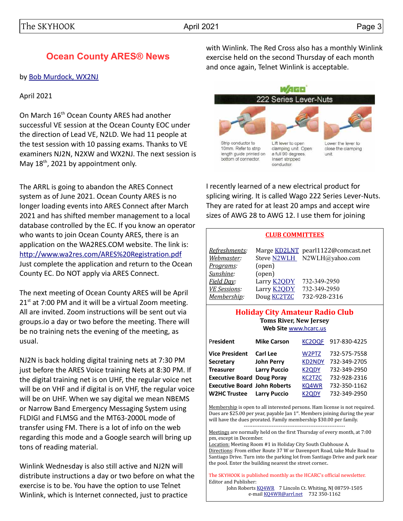# **Ocean County ARES® News**

#### by [Bob Murdock, WX2NJ](mailto:wx2nj@comcast.net)

### April 2021

On March 16<sup>th</sup> Ocean County ARES had another successful VE session at the Ocean County EOC under the direction of Lead VE, N2LD. We had 11 people at the test session with 10 passing exams. Thanks to VE examiners NJ2N, N2XW and WX2NJ. The next session is May 18<sup>th</sup>, 2021 by appointment only.

The ARRL is going to abandon the ARES Connect system as of June 2021. Ocean County ARES is no longer loading events into ARES Connect after March 2021 and has shifted member management to a local database controlled by the EC. If you know an operator who wants to join Ocean County ARES, there is an application on the WA2RES.COM website. The link is: <http://www.wa2res.com/ARES%20Registration.pdf> Just complete the application and return to the Ocean County EC. Do NOT apply via ARES Connect.

The next meeting of Ocean County ARES will be April  $21<sup>st</sup>$  at 7:00 PM and it will be a virtual Zoom meeting. All are invited. Zoom instructions will be sent out via groups.io a day or two before the meeting. There will be no training nets the evening of the meeting, as usual.

NJ2N is back holding digital training nets at 7:30 PM just before the ARES Voice training Nets at 8:30 PM. If the digital training net is on UHF, the regular voice net will be on VHF and if digital is on VHF, the regular voice will be on UHF. When we say digital we mean NBEMS or Narrow Band Emergency Messaging System using FLDIGI and FLMSG and the MT63-2000L mode of transfer using FM. There is a lot of info on the web regarding this mode and a Google search will bring up tons of reading material.

Winlink Wednesday is also still active and NJ2N will distribute instructions a day or two before on what the exercise is to be. You have the option to use Telnet Winlink, which is Internet connected, just to practice

with Winlink. The Red Cross also has a monthly Winlink exercise held on the second Thursday of each month and once again, Telnet Winlink is acceptable.



I recently learned of a new electrical product for splicing wiring. It is called Wago 222 Series Lever-Nuts. They are rated for at least 20 amps and accept wire sizes of AWG 28 to AWG 12. I use them for joining

#### **CLUB COMMITTEES**

| Refreshments:       |                    | Marge KD2LNT pearl1122@comcast.net |
|---------------------|--------------------|------------------------------------|
| Webmaster:          |                    | Steve N2WLH N2WLH@yahoo.com        |
| Programs:           | (open)             |                                    |
| Sunshine:           | (open)             |                                    |
| Field Day:          | Larry <b>K2QDY</b> | 732-349-2950                       |
| <b>VE Sessions:</b> | Larry <b>K2ODY</b> | 732-349-2950                       |
| Membership:         | Doug <b>KC2TZC</b> | 732-928-2316                       |

#### **Holiday City Amateur Radio Club Toms River, New Jersey Web Site** [www.hcarc.us](http://www.hcarc.us/)

| President                           | <b>Mike Carson</b>  | KC <sub>2</sub> OQF | 917-830-4225 |
|-------------------------------------|---------------------|---------------------|--------------|
| <b>Vice President</b>               | Carl Lee            | W2PTZ               | 732-575-7558 |
| <b>Secretary</b>                    | <b>John Perry</b>   | <b>KD2NDY</b>       | 732-349-2705 |
| <b>Treasurer</b>                    | <b>Larry Puccio</b> | <b>K2QDY</b>        | 732-349-2950 |
| <b>Executive Board Doug Poray</b>   |                     | <b>KC2TZC</b>       | 732-928-2316 |
| <b>Executive Board John Roberts</b> |                     | KQ4WR               | 732-350-1162 |
| <b>W2HC Trustee</b>                 | <b>Larry Puccio</b> | K <sub>2</sub> ODY  | 732-349-2950 |

Membership is open to all interested persons. Ham license is not required. Dues are \$25.00 per year, payable Jan  $1<sup>st</sup>$ . Members joining during the year will have the dues prorated. Family membership \$30.00 per family.

----------------------------------------------------------

Meetings are normally held on the first Thursday of every month, at 7:00 pm, except in December.

Location: Meeting Room #1 in Holiday City South Clubhouse A. Directions: From either Route 37 W or Davenport Road, take Mule Road to Santiago Drive. Turn into the parking lot from Santiago Drive and park near the pool. Enter the building nearest the street corner..

The SKYHOOK is published monthly as the HCARC's official newsletter. Editor and Publisher:

John Roberts [KQ4WR](mailto:kq4wr@arrl.net) 7 Lincoln Ct. Whiting, NJ 08759-1505 e-mail [KQ4WR@arrl.net](mailto:KQ4WR@arrl.net) 732 350-1162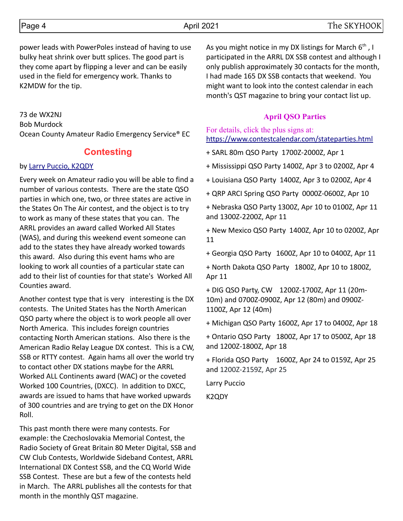power leads with PowerPoles instead of having to use bulky heat shrink over butt splices. The good part is they come apart by flipping a lever and can be easily used in the field for emergency work. Thanks to K2MDW for the tip.

73 de WX2NJ Bob Murdock Ocean County Amateur Radio Emergency Service® EC

## **Contesting**

### by [Larry Puccio, K2QDY](mailto:lpuccio071@gmail.com)

Every week on Amateur radio you will be able to find a number of various contests. There are the state QSO parties in which one, two, or three states are active in the States On The Air contest, and the object is to try to work as many of these states that you can. The ARRL provides an award called Worked All States (WAS), and during this weekend event someone can add to the states they have already worked towards this award. Also during this event hams who are looking to work all counties of a particular state can add to their list of counties for that state's Worked All Counties award.

Another contest type that is very interesting is the DX contests. The United States has the North American QSO party where the object is to work people all over North America. This includes foreign countries contacting North American stations. Also there is the American Radio Relay League DX contest. This is a CW, SSB or RTTY contest. Again hams all over the world try to contact other DX stations maybe for the ARRL Worked ALL Continents award (WAC) or the coveted Worked 100 Countries, (DXCC). In addition to DXCC, awards are issued to hams that have worked upwards of 300 countries and are trying to get on the DX Honor Roll.

This past month there were many contests. For example: the Czechoslovakia Memorial Contest, the Radio Society of Great Britain 80 Meter Digital, SSB and CW Club Contests, Worldwide Sideband Contest, ARRL International DX Contest SSB, and the CQ World Wide SSB Contest. These are but a few of the contests held in March. The ARRL publishes all the contests for that month in the monthly QST magazine.

As you might notice in my DX listings for March  $6<sup>th</sup>$ , I participated in the ARRL DX SSB contest and although I only publish approximately 30 contacts for the month, I had made 165 DX SSB contacts that weekend. You might want to look into the contest calendar in each month's QST magazine to bring your contact list up.

### **April QSO Parties**

For details, click the plus signs at: <https://www.contestcalendar.com/stateparties.html>

+ SARL 80m QSO Party 1700Z-2000Z, Apr 1

+ Mississippi QSO Party 1400Z, Apr 3 to 0200Z, Apr 4

+ Louisiana QSO Party 1400Z, Apr 3 to 0200Z, Apr 4

+ QRP ARCI Spring QSO Party 0000Z-0600Z, Apr 10

+ Nebraska QSO Party 1300Z, Apr 10 to 0100Z, Apr 11 and 1300Z-2200Z, Apr 11

+ New Mexico QSO Party 1400Z, Apr 10 to 0200Z, Apr 11

+ Georgia QSO Party 1600Z, Apr 10 to 0400Z, Apr 11

+ North Dakota QSO Party 1800Z, Apr 10 to 1800Z, Apr 11

+ DIG QSO Party, CW 1200Z-1700Z, Apr 11 (20m-10m) and 0700Z-0900Z, Apr 12 (80m) and 0900Z-1100Z, Apr 12 (40m)

+ Michigan QSO Party 1600Z, Apr 17 to 0400Z, Apr 18

+ Ontario QSO Party 1800Z, Apr 17 to 0500Z, Apr 18 and 1200Z-1800Z, Apr 18

+ Florida QSO Party 1600Z, Apr 24 to 0159Z, Apr 25 and 1200Z-2159Z, Apr 25

Larry Puccio

K2QDY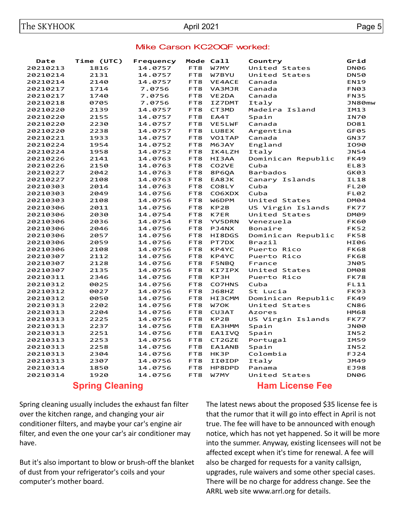### Mike Carson KC2OQF worked:

| Date     | Time (UTC) | Frequency |     | Mode Call          | Country            | Grid        |
|----------|------------|-----------|-----|--------------------|--------------------|-------------|
| 20210213 | 1816       | 14.0757   | FT8 | W7MY               | United States      | <b>DN06</b> |
| 20210214 | 2131       | 14.0757   | FT8 | W7BYU              | United States      | <b>DN50</b> |
| 20210214 | 2140       | 14.0757   | FT8 | <b>VE4ACE</b>      | Canada             | <b>EN19</b> |
| 20210217 | 1714       | 7.0756    | FT8 | VA3MJR             | Canada             | <b>FN03</b> |
| 20210217 | 1740       | 7.0756    | FT8 | VE2DA              | Canada             | <b>FN35</b> |
| 20210218 | 0705       | 7.0756    | FT8 | IZ7DMT             | Italy              | JN80mw      |
| 20210220 | 2139       | 14.0757   | FT8 | CT3MD              | Madeira Island     | IM13        |
| 20210220 | 2155       | 14.0757   | FT8 | EA4T               | Spain              | IN70        |
| 20210220 | 2230       | 14.0757   | FT8 | <b>VE5LWF</b>      | Canada             | DO81        |
| 20210220 | 2238       | 14.0757   | FT8 | LU8EX              | Argentina          | GF05        |
| 20210221 | 1933       | 14.0757   | FT8 | VO1TAP             | Canada             | <b>GN37</b> |
| 20210224 | 1954       | 14.0752   | FT8 | M6JAY              | England            | <b>IO90</b> |
| 20210224 | 1958       | 14.0752   | FT8 | IK4LZH             | Italy              | <b>JN54</b> |
| 20210226 | 2141       | 14.0763   | FT8 | HI3AA              | Dominican Republic | <b>FK49</b> |
| 20210226 | 2150       | 14.0763   | FT8 | CO <sub>2</sub> VE | Cuba               | EL83        |
| 20210227 | 2042       | 14.0763   | FT8 | <b>8P60A</b>       | <b>Barbados</b>    | GK03        |
| 20210227 | 2108       | 14.0763   | FT8 | EA8JK              | Canary Islands     | <b>IL18</b> |
| 20210303 | 2014       | 14.0763   | FT8 | CO8LY              | Cuba               | <b>FL20</b> |
| 20210303 | 2049       | 14.0756   | FT8 | CO6XDX             | Cuba               | <b>FL02</b> |
| 20210303 | 2108       | 14.0756   | FT8 | W6DPM              | United States      | DM04        |
| 20210306 | 2011       | 14.0756   | FT8 | KP2B               | US Virgin Islands  | FK77        |
| 20210306 | 2030       | 14.0754   | FT8 | <b>K7ER</b>        | United States      | DM09        |
| 20210306 | 2036       | 14.0754   | FT8 | <b>YV5DRN</b>      | Venezuela          | FK60        |
| 20210306 | 2046       | 14.0756   | FT8 | PJ4NX              | Bonaire            | FK52        |
| 20210306 | 2057       | 14.0756   | FT8 | HI8DGS             | Dominican Republic | <b>FK58</b> |
| 20210306 | 2059       | 14.0756   | FT8 | PT7DX              | Brazil             | HI06        |
| 20210306 | 2108       | 14.0756   | FT8 | KP4YC              | Puerto Rico        | <b>FK68</b> |
| 20210307 | 2112       | 14.0756   | FT8 | KP4YC              | Puerto Rico        | <b>FK68</b> |
| 20210307 | 2128       | 14.0756   | FT8 | <b>F5NBQ</b>       | France             | JN05        |
| 20210307 | 2135       | 14.0756   | FT8 | KI7IPX             | United States      | DM08        |
| 20210311 | 2346       | 14.0756   | FT8 | KP3H               | Puerto Rico        | FK78        |
| 20210312 | 0025       | 14.0756   | FT8 | <b>CO7HNS</b>      | Cuba               | FL11        |
| 20210312 | 0027       | 14.0756   | FT8 | <b>J68HZ</b>       | St Lucia           | FK93        |
| 20210312 | 0050       | 14.0756   | FT8 | HI3CMM             | Dominican Republic | <b>FK49</b> |
| 20210313 | 2202       | 14.0756   | FT8 | W7OK               | United States      | <b>CN86</b> |
| 20210313 | 2204       | 14.0756   | FT8 | <b>CU3AT</b>       | Azores             | <b>HM68</b> |
| 20210313 | 2225       | 14.0756   | FT8 | KP2B               | US Virgin Islands  | FK77        |
| 20210313 | 2237       | 14.0756   | FT8 | EA3HMM             | Spain              | <b>JN00</b> |
| 20210313 | 2251       | 14.0756   | FT8 | EA1IVQ             | Spain              | IN52        |
| 20210313 | 2253       | 14.0756   | FT8 | CT2GZE             | Portugal           | <b>IM59</b> |
| 20210313 | 2258       | 14.0756   | FT8 | <b>EA1ANB</b>      | Spain              | <b>IN52</b> |
| 20210313 | 2304       | 14.0756   | FT8 | HK3P               | Colombia           | <b>FJ24</b> |
| 20210313 | 2307       | 14.0756   | FT8 | II0IDP             | Italy              | JM49        |
| 20210314 | 1850       | 14.0756   | FT8 | HP8DPD             | Panama             | EJ98        |
| 20210314 | 1920       | 14.0756   | FT8 | W7MY               | United States      | <b>DN06</b> |
|          |            |           |     |                    |                    |             |

### **Spring Cleaning**

Spring cleaning usually includes the exhaust fan filter over the kitchen range, and changing your air conditioner filters, and maybe your car's engine air filter, and even the one your car's air conditioner may have.

But it's also important to blow or brush-off the blanket of dust from your refrigerator's coils and your computer's mother board.

### **Ham License Fee**

The latest news about the proposed \$35 license fee is that the rumor that it will go into effect in April is not true. The fee will have to be announced with enough notice, which has not yet happened. So it will be more into the summer. Anyway, existing licensees will not be affected except when it's time for renewal. A fee will also be charged for requests for a vanity callsign, upgrades, rule waivers and some other special cases. There will be no charge for address change. See the ARRL web site www.arrl.org for details.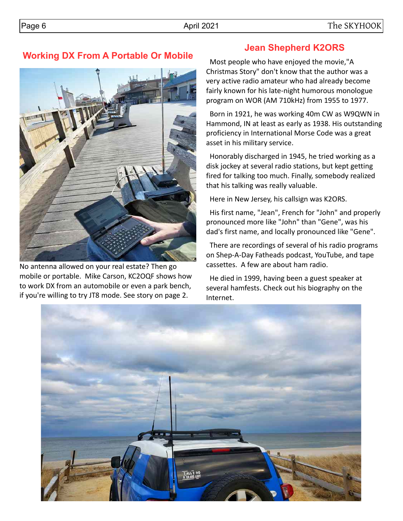# **Working DX From A Portable Or Mobile**



No antenna allowed on your real estate? Then go mobile or portable. Mike Carson, KC2OQF shows how to work DX from an automobile or even a park bench, if you're willing to try JT8 mode. See story on page 2.

# **Jean Shepherd K2ORS**

 Most people who have enjoyed the movie,"A Christmas Story" don't know that the author was a very active radio amateur who had already become fairly known for his late-night humorous monologue program on WOR (AM 710kHz) from 1955 to 1977.

 Born in 1921, he was working 40m CW as W9QWN in Hammond, IN at least as early as 1938. His outstanding proficiency in International Morse Code was a great asset in his military service.

 Honorably discharged in 1945, he tried working as a disk jockey at several radio stations, but kept getting fired for talking too much. Finally, somebody realized that his talking was really valuable.

Here in New Jersey, his callsign was K2ORS.

 His first name, "Jean", French for "John" and properly pronounced more like "John" than "Gene", was his dad's first name, and locally pronounced like "Gene".

 There are recordings of several of his radio programs on Shep-A-Day Fatheads podcast, YouTube, and tape cassettes. A few are about ham radio.

 He died in 1999, having been a guest speaker at several hamfests. Check out his biography on the Internet.

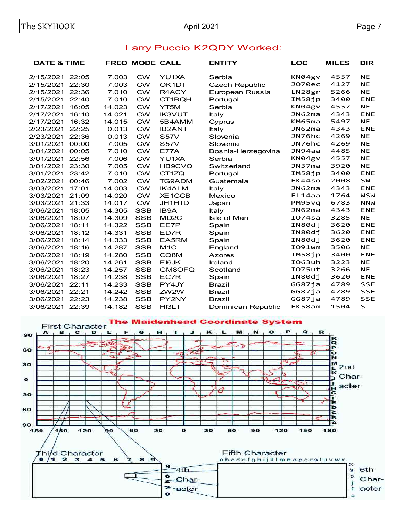| <b>DATE &amp; TIME</b> |                         |                |                                                                                         | <b>ENTITY</b>                                                    | <b>LOC</b> | <b>MILES</b>                                                                           | <b>DIR</b>                                           |
|------------------------|-------------------------|----------------|-----------------------------------------------------------------------------------------|------------------------------------------------------------------|------------|----------------------------------------------------------------------------------------|------------------------------------------------------|
| 22:05                  | 7.003                   | <b>CW</b>      | YU1XA                                                                                   | Serbia                                                           | KN04gv     | 4557                                                                                   | <b>NE</b>                                            |
|                        |                         |                |                                                                                         | <b>Czech Republic</b>                                            |            |                                                                                        | <b>NE</b>                                            |
|                        |                         |                | R4ACY                                                                                   | European Russia                                                  |            |                                                                                        | <b>NE</b>                                            |
| 22:40                  | 7.010                   |                | CT1BQH                                                                                  | Portugal                                                         |            |                                                                                        | <b>ENE</b>                                           |
| 16:05                  | 14.023                  |                | YT <sub>5</sub> M                                                                       | Serbia                                                           | KN04gv     | 4557                                                                                   | <b>NE</b>                                            |
|                        | 14.021                  |                |                                                                                         | Italy                                                            |            |                                                                                        | <b>ENE</b>                                           |
| 16:32                  | 14.015                  |                | 5B4AMM                                                                                  | Cyprus                                                           |            |                                                                                        | <b>NE</b>                                            |
| 22:25                  | 0.013                   |                |                                                                                         | Italy                                                            |            |                                                                                        | <b>ENE</b>                                           |
| 22:36                  | 0.013                   | <b>CW</b>      | <b>S57V</b>                                                                             | Slovenia                                                         | JN76hc     | 4269                                                                                   | <b>NE</b>                                            |
| 00:00                  | 7.005                   | <b>CW</b>      | <b>S57V</b>                                                                             | Slovenia                                                         | JN76hc     | 4269                                                                                   | <b>NE</b>                                            |
| 00:05                  | 7.010                   | <b>CW</b>      | <b>E77A</b>                                                                             | Bosnia-Herzegovina                                               | JN94aa     |                                                                                        | <b>NE</b>                                            |
| 22:56                  | 7.006                   | <b>CW</b>      | YU1XA                                                                                   | Serbia                                                           |            | 4557                                                                                   | <b>NE</b>                                            |
| 23:30                  | 7.005                   | <b>CW</b>      | HB9CVQ                                                                                  | Switzerland                                                      | JN37ma     | 3920                                                                                   | <b>NE</b>                                            |
| 23:42                  | 7.010                   | <b>CW</b>      | CT1ZQ                                                                                   | Portugal                                                         |            | 3400                                                                                   | <b>ENE</b>                                           |
| 00:46                  | 7.002                   | <b>CW</b>      | <b>TG9ADM</b>                                                                           | Guatemala                                                        |            | 2008                                                                                   | <b>SW</b>                                            |
| 17:01                  | 14.003                  | <b>CW</b>      | <b>IK4ALM</b>                                                                           | Italy                                                            | JNG2ma     | 4343                                                                                   | <b>ENE</b>                                           |
| 21:09                  | 14.020                  | <b>CW</b>      | <b>XE1CCB</b>                                                                           | Mexico                                                           | EL14aa     | 1764                                                                                   | <b>WSW</b>                                           |
| 21:33                  | 14.017                  | <b>CW</b>      | JH1HTD                                                                                  | Japan                                                            | PM95vq     | 6783                                                                                   | <b>NNW</b>                                           |
| 18:05                  | 14.305                  | <b>SSB</b>     | <b>IB9A</b>                                                                             | Italy                                                            | JNG2ma     | 4343                                                                                   | <b>ENE</b>                                           |
| 18:07                  | 14.309                  | <b>SSB</b>     | MD <sub>2</sub> C                                                                       | Isle of Man                                                      | IO74sa     | 3285                                                                                   | <b>NE</b>                                            |
| 18:11                  | 14.322                  | <b>SSB</b>     | EE7P                                                                                    | Spain                                                            | IN80dj     | 3620                                                                                   | <b>ENE</b>                                           |
| 18:12                  | 14.331                  | <b>SSB</b>     | ED7R                                                                                    | Spain                                                            | IN80dj     | 3620                                                                                   | <b>ENE</b>                                           |
| 18:14                  | 14.333                  | <b>SSB</b>     | EA5RM                                                                                   | Spain                                                            | IN80dj     | 3620                                                                                   | <b>ENE</b>                                           |
| 18:16                  | 14.287                  | <b>SSB</b>     | M <sub>1</sub> C                                                                        | England                                                          | I091wm     | 3506                                                                                   | <b>NE</b>                                            |
| 18:19                  | 14.280                  | <b>SSB</b>     | CQ8M                                                                                    | <b>Azores</b>                                                    | IM58jp     | 3400                                                                                   | <b>ENE</b>                                           |
| 18:20                  | 14.261                  | <b>SSB</b>     | EI6JK                                                                                   | Ireland                                                          | I063uh     | 3223                                                                                   | <b>NE</b>                                            |
| 18:23                  | 14.257                  | <b>SSB</b>     | GM8OFQ                                                                                  | Scotland                                                         | I075ut     | 3266                                                                                   | <b>NE</b>                                            |
| 18:27                  | 14.238                  | <b>SSB</b>     | EC7R                                                                                    | Spain                                                            | IN80dj     | 3620                                                                                   | <b>ENE</b>                                           |
| 22:11                  | 14.233                  | <b>SSB</b>     | PY4JY                                                                                   | <b>Brazil</b>                                                    | GG87ja     | 4789                                                                                   | <b>SSE</b>                                           |
| 22:21                  | 14.242                  | <b>SSB</b>     | ZW2W                                                                                    | <b>Brazil</b>                                                    | GG87ja     | 4789                                                                                   | <b>SSE</b>                                           |
| 22:23                  | 14.238                  | <b>SSB</b>     | PY2NY                                                                                   | <b>Brazil</b>                                                    | GG87ja     | 4789                                                                                   | <b>SSE</b>                                           |
| 22:39                  | 14.182                  | <b>SSB</b>     | <b>HI3LT</b>                                                                            | Dominican Republic                                               | FK58am     | 1504                                                                                   | $\mathsf S$                                          |
|                        | 22:30<br>22:36<br>16:10 | 7.003<br>7.010 | <b>CW</b><br><b>CW</b><br><b>CW</b><br><b>CW</b><br><b>CW</b><br><b>CW</b><br><b>CW</b> | <b>FREQ MODE CALL</b><br>OK1DT<br><b>IK3VUT</b><br><b>IB2ANT</b> |            | J070ec<br>LN28gr<br>IM58jp<br>JN62ma<br>KM65ma<br>JNG2ma<br>KN04gv<br>IM58jp<br>EK44so | 4127<br>5266<br>3400<br>4343<br>5497<br>4343<br>4485 |

### Larry Puccio K2QDY Worked: